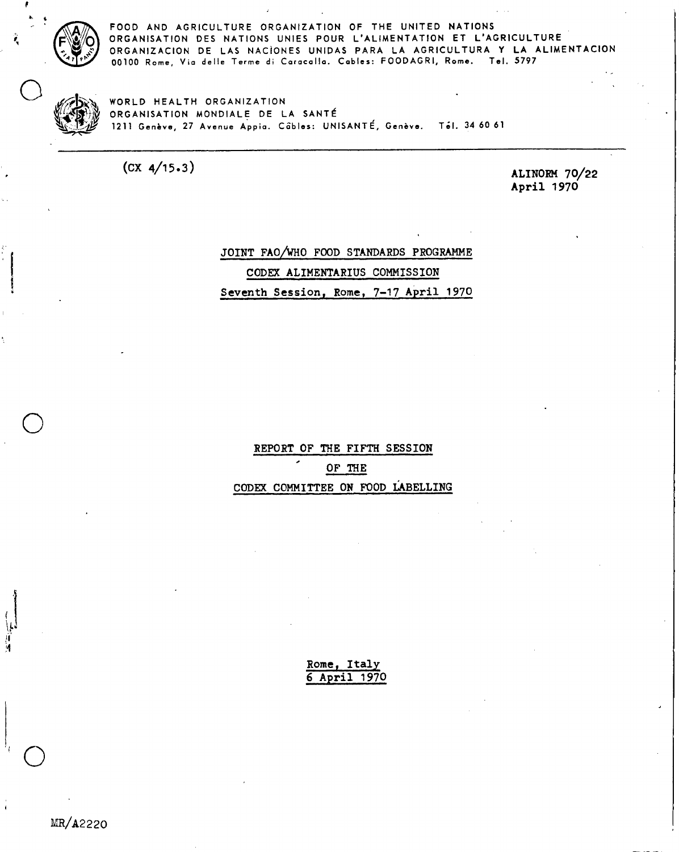

**f** 

**FOOD AND AGRICULTURE ORGANIZATION OF THE UNITED NATIONS ORGANISATION DES NATIONS UNIES POUR L'ALIMENTATION ET L'AGRICULTURE ORGANIZACION DE LAS NACIONES UNIDAS PARA LA AGRICULTURA Y LA ALIMENTACION 00100 Rome, Via delle Terme di Caracalla. Cables: FOODAGRI, Rome. Tel. 5797** 

WORLD HEALTH ORGANIZATION **VP/ 4 V<sup>i</sup> .44,1) ORGANISATION MONDIALE DE LA SANTE stks,-:1\_41 1211 Genève, 27 Avenue Apple. CEibles: UNISANTE, Genève. Tél. 34 60 61** 

**(CX 4/15.3) ALINORM 70/22 April 1970** 

# **JOINT FAO/WHO FOOD STANDARDS PROGRAMME CODEX ALIMENTARIUS COMMISSION Seventh Session, Rome, 7-17 April 1970**

**REPORT OF THE FIFTH SESSION OF THE CODEX COMMITTEE ON FOOD tABELLING** 

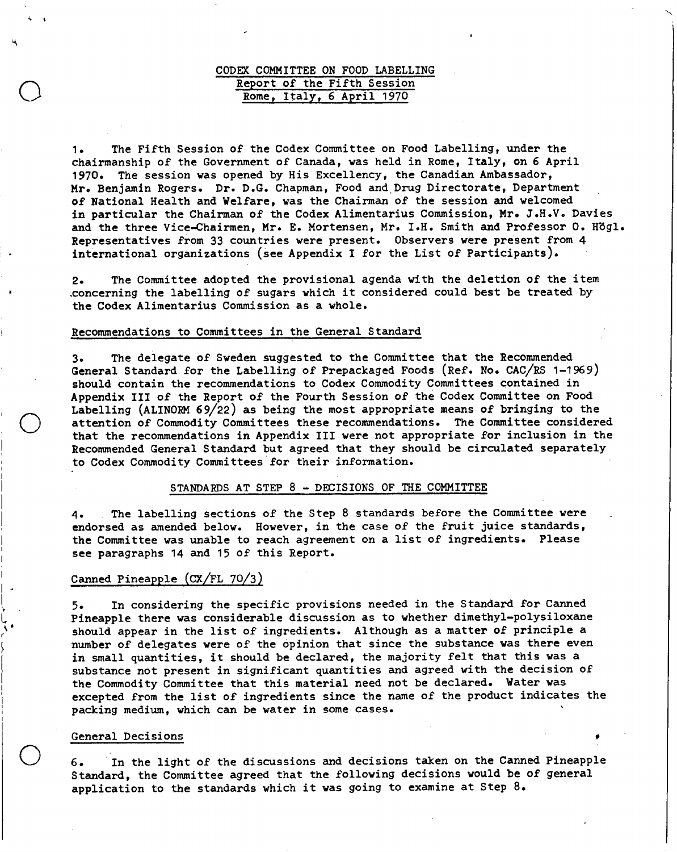# **CODEX COMMITTEE ON FOOD LABELLING Report of the Fifth Session Rome, Italy, 6 April 1970**

**The Fifth Session of the Codex Committee on Food Labelling, under the**   $1.$ **chairmanship of the Government of Canada, was held in Rome, Italy, on 6 April 1970. The session was opened by His Excellency, the Canadian Ambassador, Mr. Benjamin Rogers. Dr. D.G. Chapman, Foodand Drug Directorate, Department of National Health and Welfare, was the Chairman of the session and welcomed in particular the Chairman of the Codex Alimentarius Commission, Mr. J.H.V. Davies and the three Vice-Chairmen, Mr. E. Mortensen, Mr. I.H. Smith and Professor O. Hbgl. Representatives from 33 countries were present. Observers were present from 4 international organizations (see Appendix I for the List of Participants).** 

**The Committee adopted the provisional agenda with the deletion of the item**   $2.$ **.concerningthe labelling of sugars which it considered could best be treated by the Codex Alimentarius Commission as a whole.** 

# **Recommendations to Committees in the General Standard**

**The delegate of Sweden suggested to the Committee that the Recommended**   $3.$ **General Standard for the Labelling of Prepackaged Foods (Ref. No. CAC/RS 1-1969) should contain the recommendations to Codex Commodity Committees contained in Appendix III of the Report of the Fourth Session of the Codex Committee on Food Labelling (ALINORM 69/22) as being the most appropriate means of bringing to the attention of Commodity Committees these recommendations. The Committee considered that the recommendations in Appendix III were not appropriate for inclusion in the Recommended General Standard but agreed that they should be circulated separately to Codex Commodity Committees for their information.** 

### **STANDARDS AT STEP 8 - DECISIONS OF THE COMMITTEE**

**The labelling sections of the Step 8 standards before the Committee were**  4. **endorsed as amended below. However, in the case of the fruit juice standards, the Committee was unable to reach agreement on a list of ingredients. Please see paragraphs 14 and 15 of this Report.** 

# **Canned Pineapple (CX/FL 70/3)**

**In considering the specific provisions needed in the Standard for Canned**  5. **Pineapple there was considerable discussion as to whether dimethyl-polysiloxane should appear in the list of ingredients. Although as a matter of principle a number of delegates were of the opinion that since the substance vas there even in small quantities, it should be declared, the majority felt that this was a substance not present in significant quantities and agreed with the decision of the Commodity Committee that this material need not be declared. Water was excepted from the list of ingredients since the name of the product indicates the packing medium, which can be water in some cases. •** 

# General Decisions

o

4. 4

o

**In the light of the discussions and decisions taken on the Canned Pineapple**   $6.$ **Standard, the Committee agreed that the following decisions would be of general application to the standards which it was going to examine at Step** 8.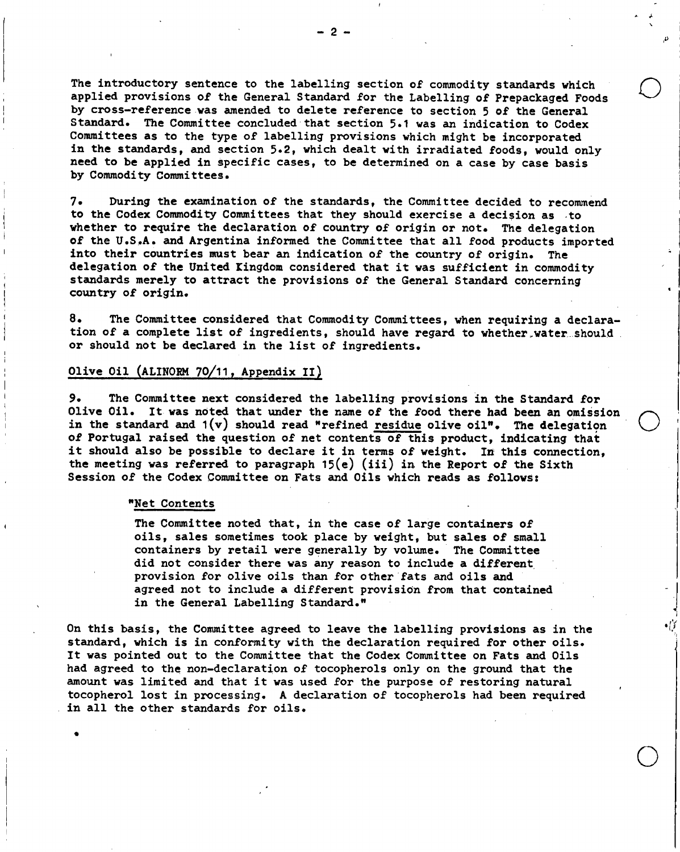**The introductory sentence to the labelling section of commodity standards which applied provisions of the General Standard for the Labelling of Prepackaged Foods by cross-reference was amended to delete reference to section 5 of the General Standard. The Committee concluded that section 5.1 was an indication to Codex Committees as to the type of labelling provisions which might be incorporated in the standards, and section 5.2, which dealt with irradiated foods, would only need to be applied in specific cases, to be determined on a case by case basis by Commodity Committees.** 

**During the examination of the standards, the Committee decided to recommend**   $7.$ **to the Codex Commodity Committees that they should exercise a decision as to whether to require the declaration of country of origin or not. The delegation of the U.S.A. and Argentina informed the Committee that all food products imported into their countries must bear an indication of the country of origin. The delegation of the United Kingdom considered that it was sufficient in commodity standards merely to attract the provisions of the General Standard concerning country of origin.** 

**The Committee considered that Commodity Committees, when requiring a declara-**8. **tion of a complete list of ingredients, should have regard to whether.water should or should not be declared in the list of ingredients.** 

•

o

۰I

o

# **Olive Oil (ALINORM 70/11, Appendix II)**

**The Committee next considered the labelling provisions in the Standard for**   $9.$ **Olive Oil. It was noted that under the name of the food there had been an omission in the standard and 1(v) should read "refined residue olive oil". The delegation of Portugal raised the question of net contents of this product, indicating that it should also be possible to declare it in terms of weight. In this connection, the meeting was referred to paragraph 15(e) (iii) in the Report of the Sixth Session of the Codex Committee on Fats and Oils which reads as follows:** 

#### **"Net Contents**

**The Committee noted that, in the case of large containers of oils, sales sometimes took place by weight, but sales of small containers by retail were generally by volume. The Committee did not consider there was any reason to include a different provision for olive oils than for other fats and oils and agreed not to include a different provision from that contained in the General Labelling Standard."** 

**On this basis, the Committee agreed to leave the labelling provisions as in the standard, which is in conformity with the declaration required for other oils. It was pointed out to the Committee that the Codex Committee on Fats and Oils had agreed to the non-declaration of tocopherols only on the ground that the amount was limited and that it was used for the purpose of restoring natural tocopherol lost in processing. A declaration of tocopherols had been required in all the other standards for oils.**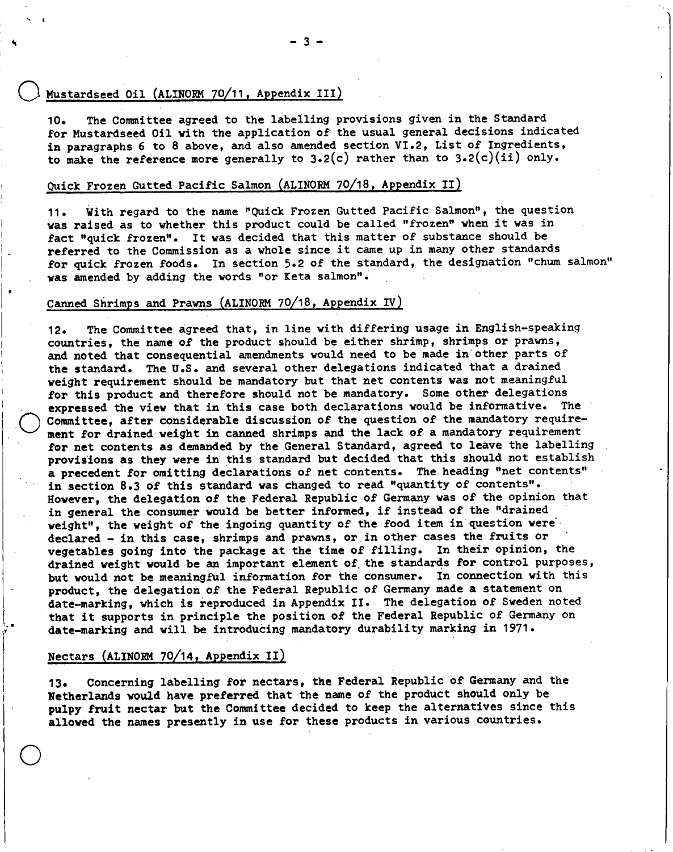# **0 Mustardseed Oil (ALINORM 7 0111, Appendix III)**

,

**The Committee agreed to the labelling provisions given in the Standard**   $10.$ **for Mustardseed Oil with the application of the usual general decisions indicated in paragraphs 6 to 8 above, and also amended section VI.2, List of Ingredients, to make the reference more generally to 3.2(c) rather than to 3.2(c)(ii) only.** 

# **Quick Frozen Gutted Pacific Salmon (ALINORM 70/18, Appendix II)**

**With regard to the name "Quick Frozen Gutted Pacific Salmon", the question**   $11.$ **was raised as to whether this product could be called "frozen" when it was in fact "quick frozen". It was decided that this matter of substance should be referred to the Commission as a whole since it came up in many other standards for quick frozen foods. In section 5.2 of the standard, the designation "chum salmon" was amended by adding the words "or Keta salmon".** 

# Canned Shrimps and Prawns (ALINORM 70/18, Appendix IV)

**The Committee agreed that, in line with differing usage in English-speaking**   $12.$ **countries, the name of the product should be either shrimp, shrimps or prawns, and noted that consequential amendments would need to be made in other parts of the standard. The U.S. and several other delegations indicated that a drained weight requirement should be mandatory but that net contents was not meaningful for this product and therefore should not be mandatory. Some other delegations expressed the view that in this case both declarations would be informative. The**  Committee, after considerable discussion of the question of the mandatory require**ment for drained weight in canned shrimps and the lack of a mandatory requirement for net contents as demanded by the General Standard, agreed to leave the labelling provisions as they were in this standard but decided that this should not establish a precedent for omitting declarations of net contents. The heading "net contents" in section 8.3 of this standard was changed to read "quantity of contents". However, the delegation of the Federal Republic of Germany was of the opinion that in general the consumer would be better informed, if instead of the "drained weight", the weight of the ingoing quantity of the food item in question were' , declared - in this case, shrimps and prawns, or in other cases the fruits or vegetables going into the package at the time of filling. In their opinion, the drained weight would be an important element of the standards for control purposes, but would not be meaningful information for the consumer. In connection with this product, the delegation of the Federal Republic of Germany made a statement on**  date-marking, which is reproduced in Appendix II. The delegation of Sweden noted **that it supports in principle the position of the Federal Republic of Germany on date-marking and will be introducing mandatory durability marking in 1971.** 

# Nectars (ALINORM 70/14, Appendix II)

o

**Concerning labelling for nectars, the Federal Republic of Germany and the**   $13-$ **Netherlands would have preferred that the name of the product should only be pulpy fruit nectar but the Committee decided to keep the alternatives since this allowed the names presently in use for these products in various countries.**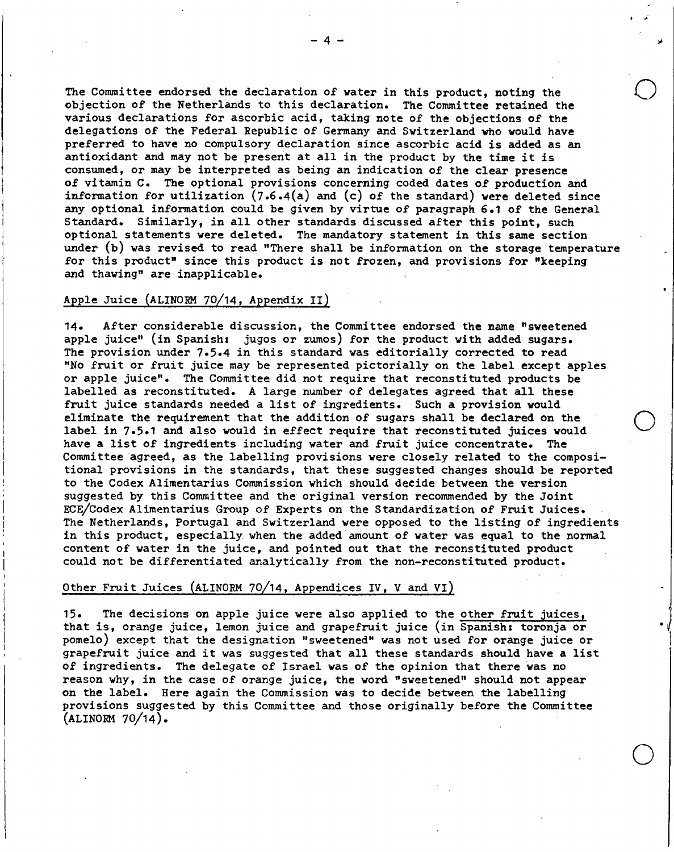**The Committee endorsed the declaration of water in this product, noting the objection of the Netherlands to this declaration. The Committee retained the various declarations for ascorbic acid, taking note of the objections of the delegations of the Federal Republic of Germany and Switzerland who would have preferred to have no compulsory declaration since ascorbic acid is added as an antioxidant and may not be present at all in the product by the time it is consumed, or may be interpreted as being an indication of the clear presence of vitamin C. The optional provisions concerning coded dates of production and information for utilization (7.6.4(a) and (e) of the standard)were deleted since any optional information could be given by virtue of paragraph 6.1 of the General Standard. Similarly, in all other standards discussed after this point, such optional statements were deleted. The mandatory statement in this same section under (b) was revised to read "There shall be information on the storage temperature for this product" since this product is not frozen, and provisions for "keeping and thawing" are inapplicable.** 

# **Apple Juice (ALINORM 70/14, Appendix II)**

**After considerable discussion, the Committee endorsed the name "sweetened**   $14.$ **apple juice" (in Spanish: jugos or zumos) for the product with added sugars. The provision under** 7.5.4 **in this standard was editorially corrected to read "No fruit or fruit juice may be represented pictorially on the label except apples or apple juice". The Committee did not require that reconstituted products be labelled as reconstituted. A large number of delegates agreed that all these fruit juice standards needed a list of ingredients. Such a provision would eliminate the requirement that the addition of sugars shall be declared on the label in 7.5.1 and also would in effect require that reconstituted juices would have a list of ingredients including water and fruit juice concentrate. The Committee agreed, as the labelling provisions were closely related to the compositional provisions in the standards, that these suggested changes should be reported to the Codex Alimentarius Commission which should deeide between the version suggested by this Committee and the original version recommended by the Joint ECE/bodex Alimentarius Group of Experts on the Standardization of Fruit Juices. The Netherlands, Portugal and Switzerland were opposed to the listing of ingredients in this product, especially, when the added amount of water was equal to the normal content of water in the juice, and pointed out that the reconstituted product could not be differentiated analytically from the non-reconstituted product.** 

# **Other Fruit Juices (ALINORM 70/14, Appendices IV, V and VI)**

**The decisions on apple juice were also applied to the other fruit juices,**   $15.$ **that is, orange juice, lemon juice and grapefruit juice (in Spanish: toronja or pomelo) except that the designation "sweetened" was not used for orange juice or grapefruit juice and it was suggested that all these standards should have a list of ingredients. The delegate of Israel was of the opinion that there was no reason why, in the case of orange juice, the word "sweetened" should not appear on the label. Here again the Commission was to decide between the labelling provisions suggested by this Committee and those originally before the Committee (ALINORM** 70/14).

o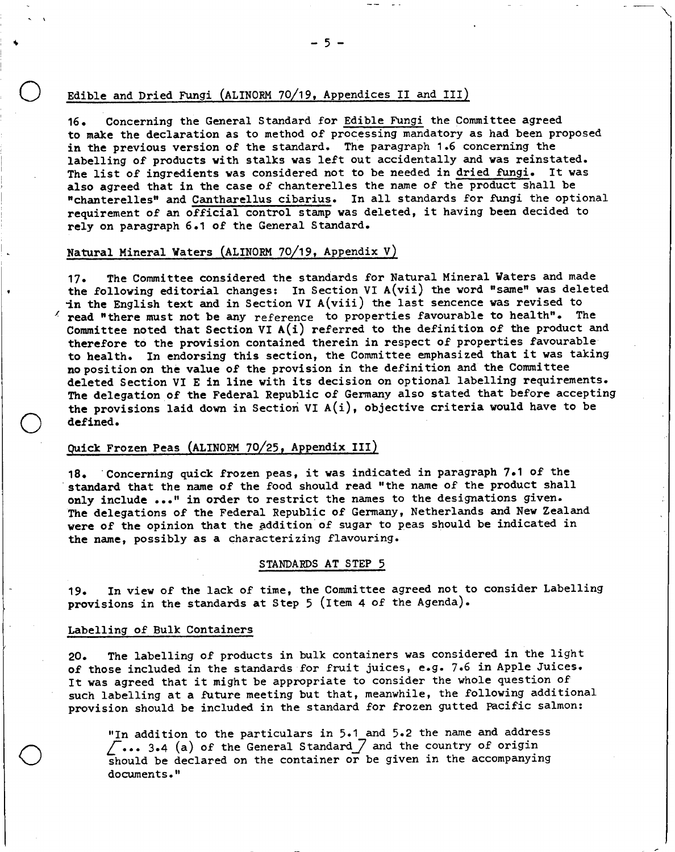# **Edible and Dried Fungi (ALINORM 70/19, Appendices II and III)**

**Concerning the General Standard for Edible Fungithe Committee agreed**   $16.$ **to make the declaration as to method of processing mandatory as had been proposed in the previous version of the standard. The paragraph 1.6 concerning the labelling of products with stalks was left out accidentally and was reinstated. The list of ingredients was considered not to be needed in dried fungi.It was also agreed that in the case of chanterelles the name of the product shall be "chanterelles" and Cantharellus cibarius.In all standards for fungi the optional requirement of an official control stamp was deleted, it having been decided to rely on paragraph 6.1 of the General Standard.** 

# **Natural Mineral Waters (ALINORM 70/19, Appendix V)**

**The Committee considered the standards for Natural Mineral Waters and made**   $17.$ **the following editorial changes: In Section VI A(vii) the word "same" was deleted ln the English text and in Section VI A(viii) the last sencencewas revised to read "there must not be any** reference **to properties favourable to health". The Committee noted that Section VI A(i) referred to the definition of the product and therefore to the provision contained therein in respect of properties favourable to health. In endorsing this section, the Committee emphasized that it was taking nopositionon the value of the provision in the definition and the Committee deleted Section VI E in line with its decision on optional labelling requirements. The delegation of the Federal Republic of Germany also stated that before accepting the provisions laid down in Section VI A(i), objective criteria would have to be defined.** 

# **Quick Frozen Peas (ALINORM 70/25, Appendix III)**

**Concerning quick frozen peas, it was indicated in paragraph 7.1 of the**  standard that the name of the food should read "the name of the product shall **only include ..." in order to restrict the names to the designations given. The delegations of the Federal Republic of Germany, Netherlands and New Zealand were of the opinion that the addition of sugar to peas should be indicated in the name, possibly as a** characterizing flavouring.

# STANDARDS **AT STEP** 5

**In view of the lack of time, the Committee agreed not to consider Labelling**   $19.$ **provisions in the standards at Step** 5 **(Item 4 of the Agenda).** 

#### **Labelling of Bulk Containers**

 $\bigcirc$ 

**The labelling of products in bulk containers was considered in the light**   $20.$ **of those included in the standards for fruit juices, e.g. 7.6 in Apple Juices. It was agreed that it might be appropriate to consider the whole question of such labelling at a future meeting but that, meanwhile, the following additional provision should be included in the standard for frozen gutted pacific salmon:** 

**"In addition to the particulars in 5.1 and 5.2 the name and address**  27... **3.4 (a) of the General Standard:7 and the country of origin should be declared on the container or be given in the accompanying documents."**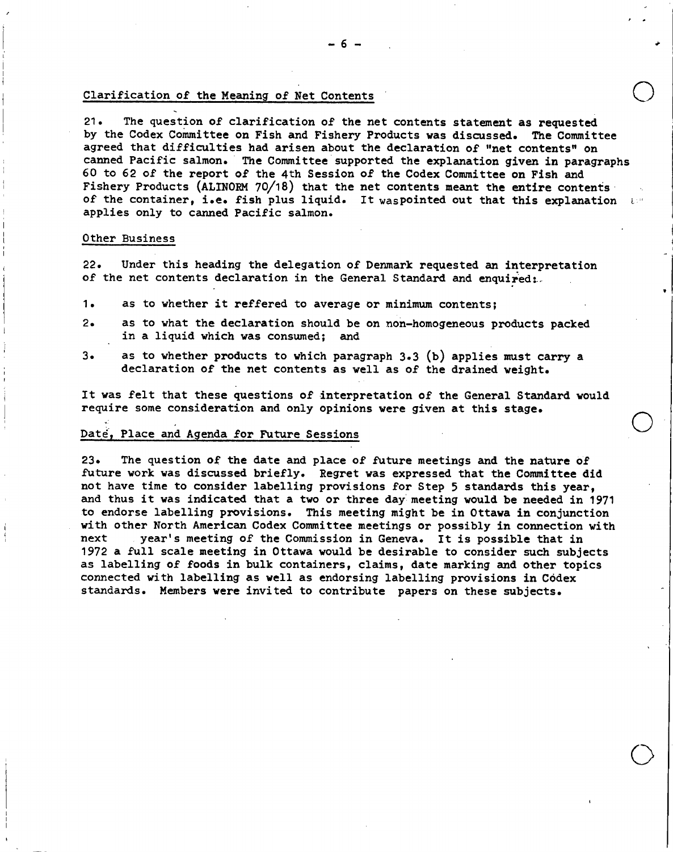# Clarification of the Meaning of Net Contents

**21. The question of clarification of the net contents statement as requested by the Codex Committee on Fish and Fishery Products was discussed. The Committee agreed that difficulties had arisen about the declaration of "net contents" on canned Pacific salmon. The Committee supported the explanation given in paragraphs 60 to 62 of the report of the 4th Session of the Codex Committee on Fish and Fishery Products (ALINORM 70/18) that the net contents meant the entire contents of the container, i.e. fish plus liquid. It waspointed out that this explanation applies only to canned Pacific salmon.** 

## **Other Business**

**22. Under this heading the delegation of Denmark requested an interpretation of the net contents declaration in the General Standard and enquired:-** 

- $1.$ **as to whether it reffered to average or minimum contents;**
- $2.$ **as to what the declaration should be on non-homogeneous products packed in a liquid which was consumed; and**
- $3\bullet$ **as to whether products to which paragraph 3.3 (b) applies must carry a declaration of the net contents as well as of the drained weight.**

**It was felt that these questions of interpretation of the General Standard would require some consideration and only opinions were given at this stage.** 

#### **Daté, Place and Agenda for Future Sessions**

**23. The question of the date and place of future meetings and the nature of future work was discussed briefly. Regret was expressed that the Committee did not have time to consider labelling provisions for Step 5 standards this year, and thus it was indicated that a two or three day meeting would be needed in 1971 to endorse labelling provisions. This meeting might be in Ottawa in conjunction with other North American Codex Committee meetings or possibly in connection with next year's meeting of the Commission in Geneva. It is possible that in 1972 a full scale meeting in Ottawa would be desirable to consider such subjects as labelling of foods in bulk containers, claims, date marking and other topics connected with labelling as well as endorsing labelling provisions in Códex standards. Members were invited to contribute papers on these subjects.**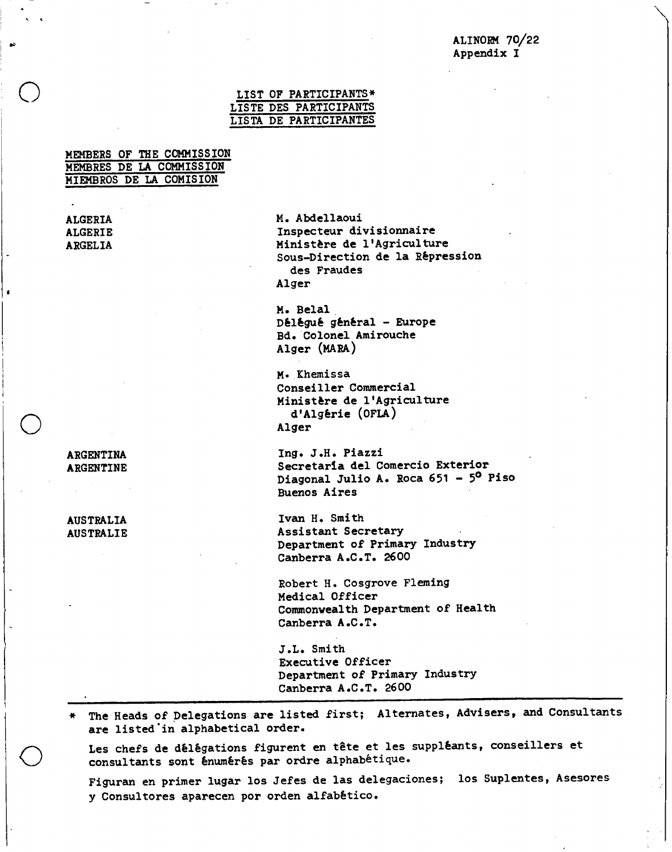# **ALINORM 70/22 Appendix I**

# **LIST OF PARTICIPANTS\* LISTE DES PARTICIPANTS LISTA DE PARTICIPANTES**

|  | <b>MEMBERS OF THE COMMISSION</b> |
|--|----------------------------------|
|  | MEMBRES DE LA COMMISSION         |
|  | MIEMBROS DE LA COMISION          |

**ALGERIA M. Abdellaoui ALGERIE Inspecteur divisionnaire ARGELIA Ministère de l'Agriculture** 

**Sous-Direction de la Répression des Fraudes Alger M. Belal** 

**Délégué général - Europe Bd. Colonel Amirouche Alger (MARA)** 

**M. Khemissa Conseiller Commercial Ministère de l'Agriculture d'Algérie (0FLA) Alger** 

**ARGENTINA Ing. J.H. Piazzi ARGENTINE Secretaria del Comercio Exterior**  Diagonal Julio A. Roca 651 - 5<sup>0</sup> Piso **Buenos Aires** 

**AUSTRALIA Ivan H. Smith AUSTRALIE Assistant Secretary Department of Primary Industry Canberra A.C.T. 2600** 

> **Robert H. Cosgrove Fleming Medical Officer Commonwealth Department of Health Canberra A.C.T.**

**J.L. Smith Executive Officer Department of Primary Industry Canberra A.C.T. 2600** 

The Heads of Delegations are listed first; Alternates, Advisers, and Consultants **are listed in alphabetical order.** 

Les chefs de délégations figurent en tête et les suppléants, conseillers et **consultants sont énumérés par ordre alphabétique.** 

**Figuran en primer lugar los Jefes de las delegaciones; los Suplentes, Asesores y Consultores aparecen por orden alfabético.**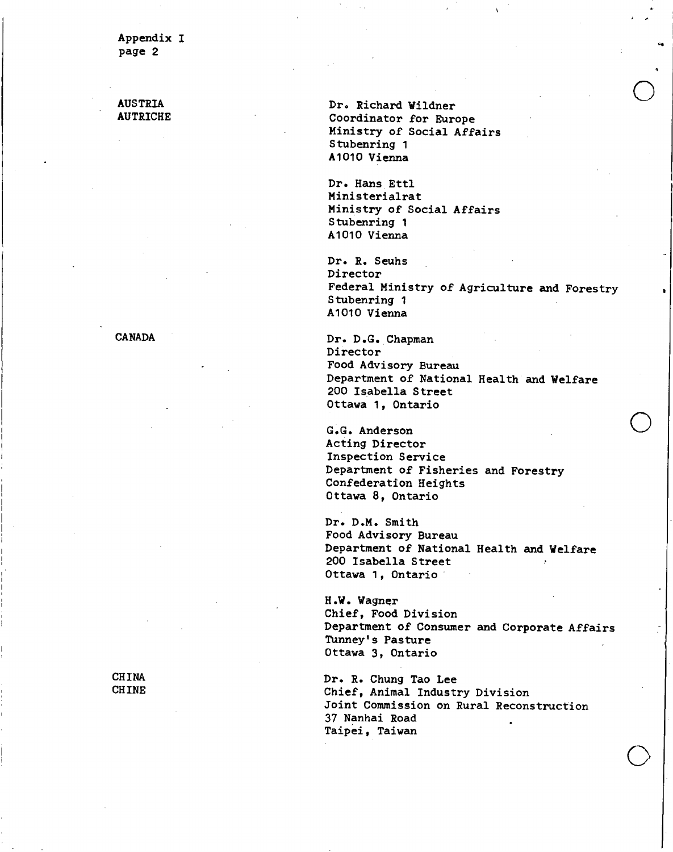**AUSTRIA** Dr. Richard Wildner<br> **AUTRICHE Dr. Richard Wildner Coordinator for Europe Ministry of Social Affairs Stubenring 1 A1010 Vienna** 

> **Dr. Hans Ettl Ministerialrat Ministry of Social Affairs Stubenring 1 A1010 Vienna**

**Dr. R. Seuhs Director Federal Ministry of Agriculture and Forestry Stubenring 1 A1010 Vienna** 

**CANADA Dr. D.G. Chapman Director Food Advisory Bureau Department of National Health and Welfare 200 Isabella Street Ottawa 1, Ontario** 

> **G.G. Anderson Acting Director Inspection Service Department of Fisheries and Forestry Confederation Heights Ottawa 8, Ontario**

**Dr. D.M. Smith Food Advisory Bureau Department of National Health and Welfare 200 Isabella Street Ottawa 1, Ontario** 

**H.W. Wagner Chief, Food Division Department of Consumer and Corporate Affairs Tunney's Pasture Ottawa 3, Ontario** 

**CHINA Dr. R. Chung Tao Lee**  Chief, Animal Industry Division **Joint Commission on Rural Reconstruction 37 Nanhai Road Taipei, Taiwan**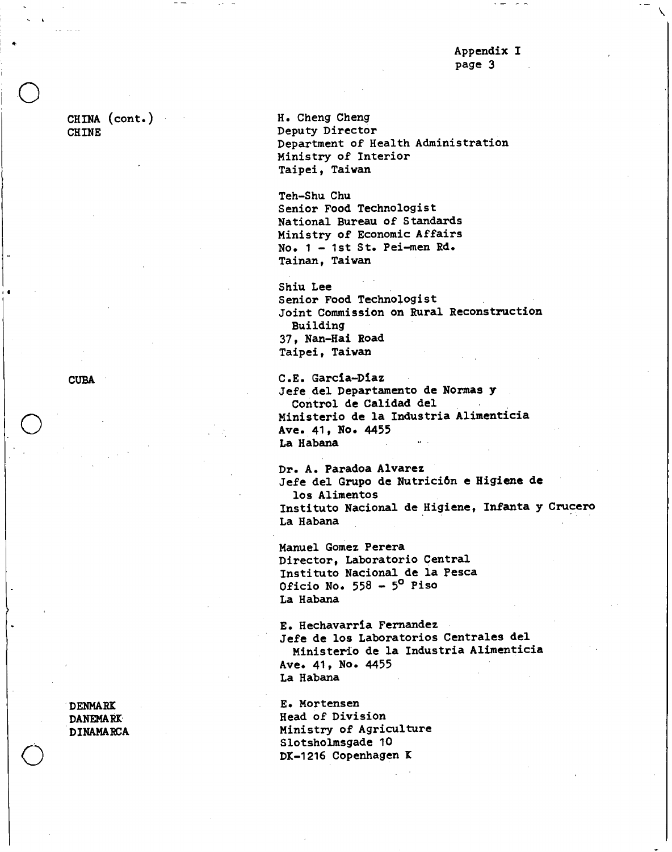**CHINA (cont.) CHINE** 

e.

**CUBA** 

**H. Cheng Cheng Deputy Director Department of Health Administration Ministry of Interior Taipei, Taiwan** 

**Teh-Shu Chu Senior Food Technologist National Bureau of Standards Ministry of Economic Affairs No. 1 - 1st St. Pei-men Rd. Tainan, Taiwan** 

**Shiu Lee Senior Food Technologist Joint Commission on Rural Reconstruction Building 37, Nan-Hai Road Taipei, Taiwan** 

**C.E. Garcia-Diaz Jefe del Departamento de Normas y Control de Calidad del Ministerio de la Industria Alimenticia Ave. 41, No. 4455 La Habana** 

**Dr. A. Paradoa Alvarez Jefe del Grupo de Nutrición e Higiene de los Alimentos Instituto Nacional de Higiene, Infanta y Crucero La Habana** 

**Manuel Gomez Perera Director, Laboratorio Central Instituto Nacional de la Pesca Oficio No. 558 - 50 Piso La Habana** 

**E. Hechavarria Fernandez Jefe de los Laboratorios Centrales del Ministerio de la Industria Alimenticia Ave. 41, No. 4455 La Habana** 

**DENMARX E. Mortensen DANEMARK** Head of Division **DINAMARCA Ministry of Agriculture Slotsholmsgade 10**  DK-1216 Copenhagen K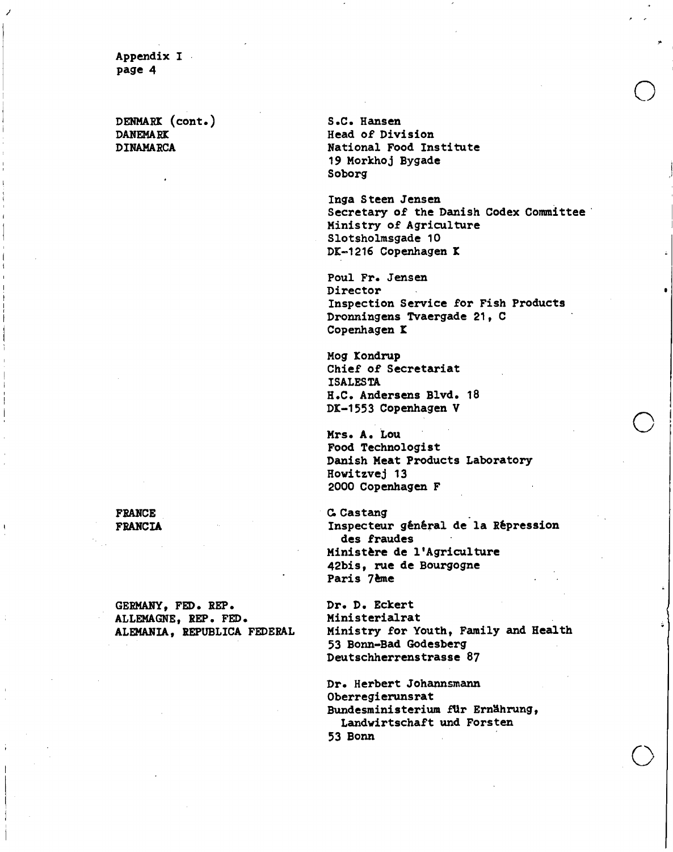**DENMARK (cont.)** S.C. Hansen<br>DANEMARK Head of Div:

**DANEMARK Head of Division**<br> **DINAMARCA** Mational Food Ins **DINAMARCA National Food Institute 19 Morkhoj Bygade Soborg** 

> **Inga Steen Jensen Secretary of the Danish Codex Committee Ministry of Agriculture Slotsholmsgade 10**  DK-1216 Copenhagen K

**Poul Fr. Jensen Director Inspection Service for Fish Products Dronningens Tvaergade 21, C Copenhagen t** 

**Mog Kondrup Chief of Secretariat ISALESTA H.C. Andersens Blvd. 18 1 D1-1553 Copenhagen V** 

**Mrs. A. Lou Food Technologist Danish Meat Products Laboratory Howitzvej 13 2000 Copenhagen F** 

**FRANCIA Inspecteur général de la Répression des fraudes Ministère de l'Agriculture 42bis, rue de Bourgogne Paris 76me** 

**ALEMANIA, REPUBLICA FEDERAL Ministry for Youth, Family and Health 53 Bonn-Bad Godesberg Deutschherrenstrasse 87** 

> **Dr. Herbert Johannsmann Oberregierunsrat Bundesministerium fUr Ernahrung,**  Landwirtschaft und Forsten **53 Bonn**

# FRANCE **C.Castang**

GERMANY, FED. REP. Dr. D. Eckert<br>ALLEMAGNE. REP. FED. Ministerialrat **ALLEMAGNE, REP. FED. Ministerialrat**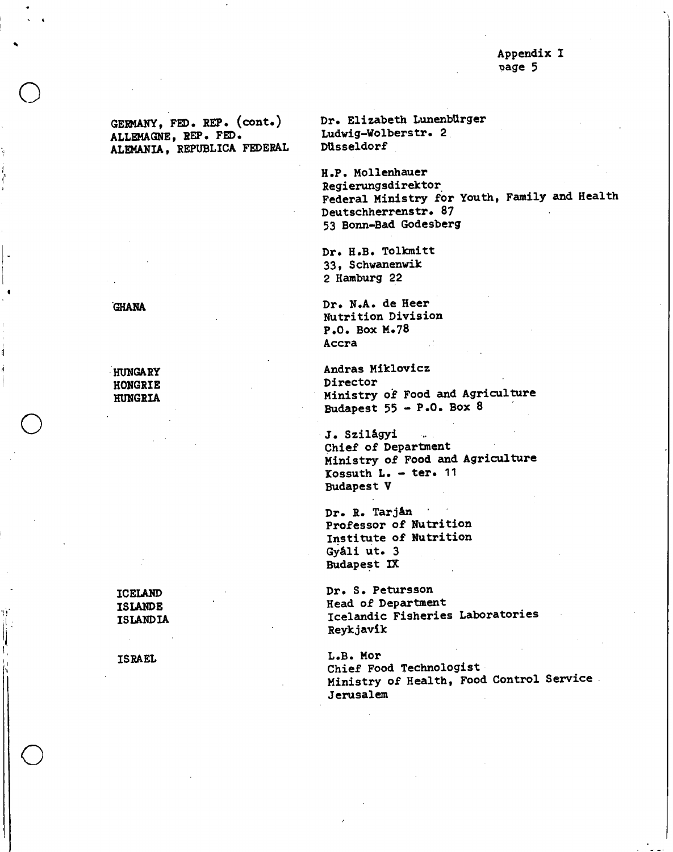**ALLEMAGNE, REP. FED. Ludwig -Wolberstr. 2 ALEMANIA, REPUBLICA FEDERAL DUsseldorf** 

**GERMANY, FED. REP. (cont.) Dr. Elizabeth LunenbUrger** 

**H.P. Mollenhauer Regierungsdirektor**. **Federal Ministry for Youth, Family and Health Deutschherrenstr. 87 53 Bonn-Bad Godesberg** 

**Dr. H.B. Tolkmitt 33, Schwanenwik 2 Hamburg 22** 

**Dr. N.A. de Heer Nutrition Division P.O. Box M.78 Accra** 

**HUNGARY** *Andras Miklovicz Andras Miklovicz* **HUNGRIA Ministry of Food and Agriculture Budapest 55 - P.O. Box <sup>8</sup>**

> **J. SzilAgyi Chief of Department Ministry of Food and Agriculture Kossuth L. - ter. 11 Budapest V**

**Dr. R. Tarján Professor of Nutrition Institute of Nutrition Gy&li ut. 3 Budapest IX** 

**ICELAND Dr. S. Petursson ISLANDE Head of Department ISLANDIA Icelandic Fisheries Laboratories Reykjavik** 

**ISRAEL L.B. Mor Chief Food Technologist Ministry of Health, Food Control Service Jerusalem** 

**GHANA** 

o

o

**HONGRIE Director**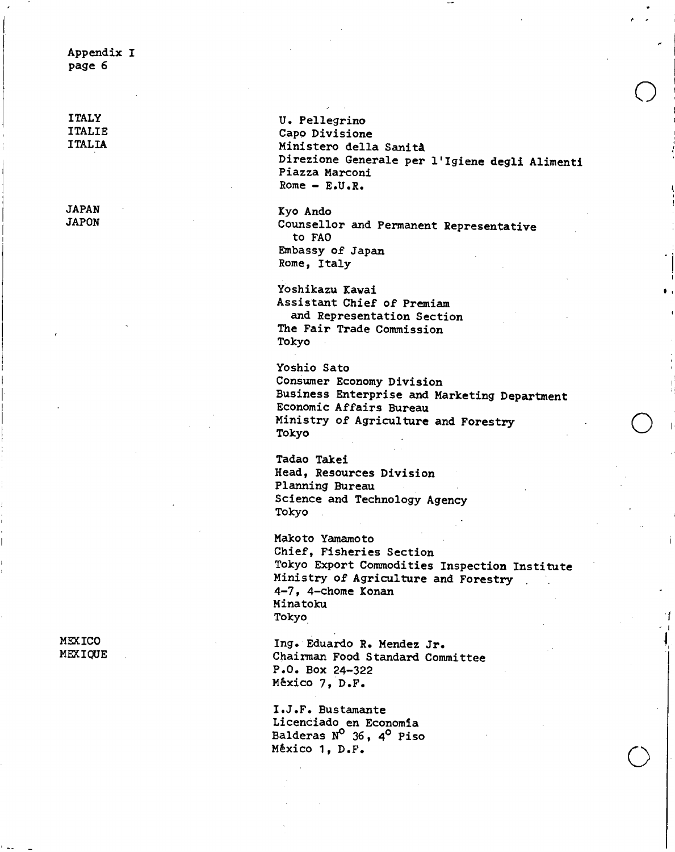**ITALY** U. Pellegrino<br> **ITALIE** Capo Division **ITALIE Capo Divisione Ministero della Sanità Direzione Generale per l'Igiene degli Alimenti Piazza Marconi Rome - E.U.R.** 

**JAPAN Kyo Ando**  Counsellor and Permanent Representative **to FAO Embassy of Japan Rome, Italy** 

> **Yoshikazu Kavai Assistant Chief of Premiam and Representation Section The Fair Trade Commission Tokyo**

**Yoshio Sato Consumer Economy Division Business Enterprise and Marketing Department Economic Affairs Bureau Ministry of Agriculture and Forestry Tokyo** 

**Tadao Takei Head, Resources Division Planning Bureau Science and Technology Agency Tokyo** 

**Makoto Yamamoto Chief, Fisheries Section Tokyo Export Commodities Inspection Institute Ministry of Agriculture and Forestry 4-7, 4-chome Konan Minatoku Tokyo** 

MEXICO Ing. Eduardo R. Mendez Jr.<br>MEXIQUE Chairman Food Standard Com **MEXIQUE Chairman Food Standard Committee P.O. Box 24-322 Mexico** 7, **D.F.** 

> **I.J.F. Bustamante**  Licenciado en Economía **Balderas B°36, 40 Piso Mexico 1, D.F.**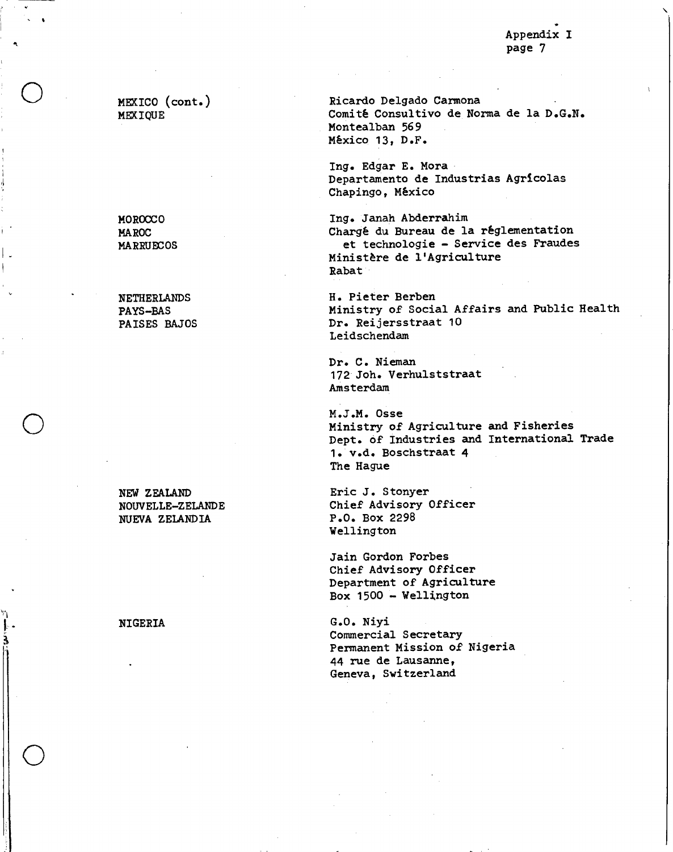**MEXICO (cont.) MEXIQUE** 

o

o

•

**NUEVA ZELANDIA** 

**Ricardo Delgado Carmona Comité Consultivo de Norma de la D.G.N. Montealban 569 México 13, D.F.** 

**lug.Edgar E. Mora Departamento de Industrias Agrícolas Chapingo, México** 

**MOROCCO lug.** Janah Abderrahim **MAROC Chargé du Bureau de la réglementation MARRUECOS et technologie - Service des Fraudes Ministère de l'Agriculture Rabat** 

**NETHERLANDS H. Pieter Berben**  PAYS-BAS Ministry of Social Affairs and Public Health<br> **PAISES BAJOS** Dr. Reijersstraat 10 Dr. Reijersstraat 10 **Leidschendam** 

> **Dr. C. Nieman 172 Joh. Verhulststraat Amsterdam**

**M.J.M. Osse Ministry of Agriculture and Fisheries Dept. of Industries and International Trade 1. v.d. Boschstraat 4 The Hague** 

**NEW ZEALAND Eric J. Stonyer NOUVELLE-ZELANDE** Chief Advisory Officer<br>
NUEVA ZELANDIA<br>
P.O. Box 2298 **Wellington** 

> **Jain Gordon Forbes Chief Advisory Officer Department of Agriculture Box 1500 - Wellington**

**NIGERIA G.O. Niyi Commercial Secretary Permanent Mission of Nigeria 44 rue de Lausanne, Geneva, Switzerland**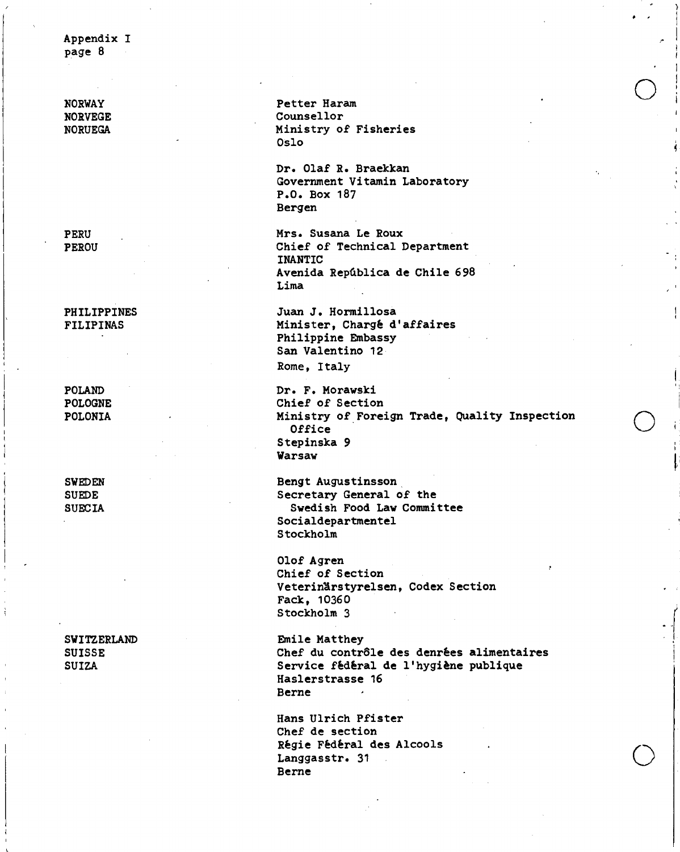**NORWAY** Petter Haram **O NORVEGE Counsellor**<br> **NORVEGA** Counsellor<br> **NIMISTRY Ministry of Fisheries Oslo** 

> **Dr. Olaf R. Braekkan Government Vitamin Laboratory P.O. Box 187 Bergen**

**PERU Mrs. Susana Le Roux PEROU Chief of Technical Department INANTIC Avenida República de Chile 698 Lima** 

**PHILIPPINES Juan J. Hormillosa FILIPINAS Minister, Chargé d'affaires Philippine Embassy San Valentino 12** 

**Rome, Italy** 

**POLAND Dr. F. Morawski**  POLOGNE **Chief of Section**<br> **POLONIA** 2008 2009 2012 2013 2014 2015 2016 **Ministry of Foreign Trade, Quality Inspection Office Stepinska 9 Warsaw** 

•

**SWEDEN Bengt Augustinsson SUEDE Secretary General of the SUECIA Swedish Food Law Committee Socialdepartmentel Stockholm** 

> **Olof Agren Chief of Section Veteriarstyrelsen, Codex Section Fack, 10360 Stockholm** 3

**SWITZERLAND Emile Matthey SUISSE Chef du contrôle des denrées alimentaires**  Service fédéral de l'hygiène publique **Haslerstrasse 16 Berne** 

> **Hans Ulrich Pfister Chef de section Régie Fédéral des Alcools Langgasstr. 31 Berne**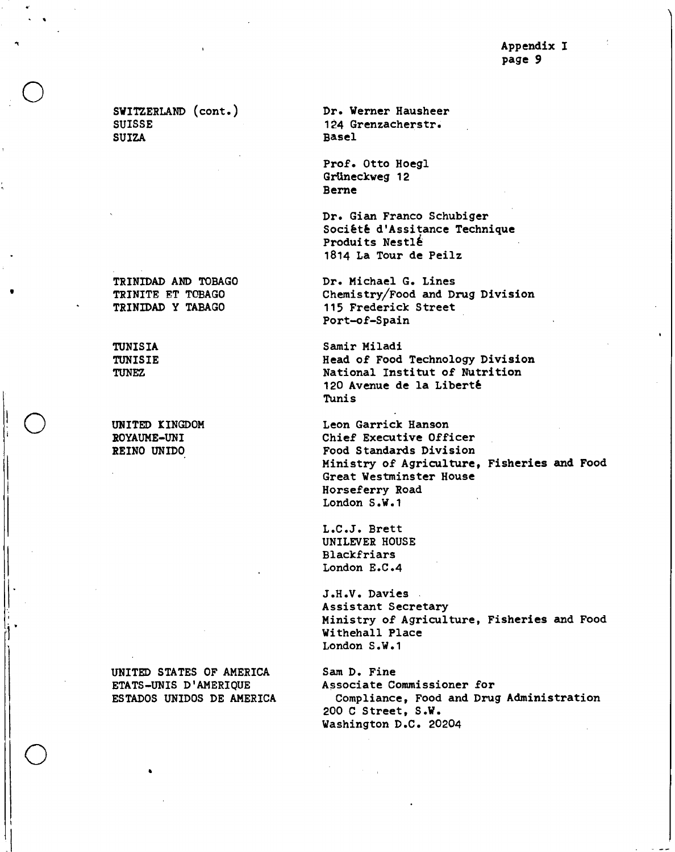**SWITZERLAND (cont.) Dr. Werner Hausheer SUISSE 124 Grenzacherstr** . **SUIZA Basel** 

**TRINIDAD AND TOBAGO TRINITE ET TOBAGO TRINIDAD Y TABAGO** 

•

•

o

**UNITED STATES OF AMERICA ETATS-UNIS D'AMERIQUE ESTADOS UNIDOS DE AMERICA** 

**Prof. Otto Hoegl GrUneckweg 12 Berne** 

**Dr. Gian Franco Schubiger Société d'Assitance Technique**  Produits Nestlé **1814 La Tour de Peilz** 

**Dr. Michael G. Lines Chemistry/Food and Drug Division 115 Frederick Street Port-of-Spain** 

**TUNISIA Samir Miladi TUNISIE Head of Food Technology Division TUNEZ National Institut of Nutrition 120 Avenue de la Liberté Tunis** 

**UNITED KINGDOM Leon Garrick Hanson ROYAUME-UNI Chief Executive Officer REINO UNIDO Food Standards Division Ministry of Agriculture, Fisheries and Food Great Westminster House Horseferry Road London S.W.1** 

> **L.C.J. Brett UNILEVER HOUSE Blackfriars London E.C.4**

**J.H.V. Davies Assistant Secretary Ministry of Agriculture, Fisheries and Food Withehall Place London S.W.1** 

**Sam D. Fine Associate Commissioner for Compliance, Food and Drug Administration 200 C Street, S.W. Washington D.C. 20204**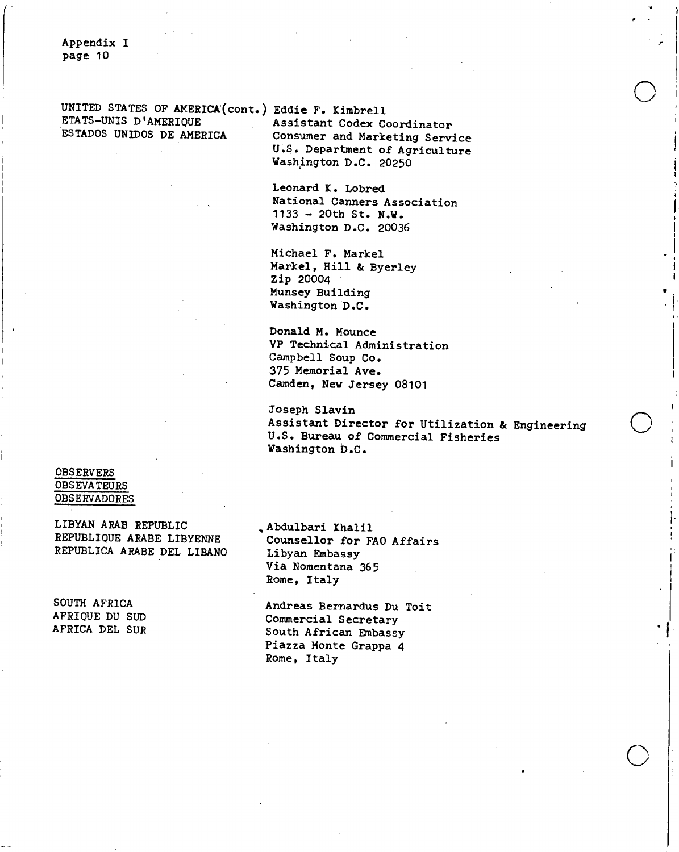**UNITED STATES OF AMERICA(cont.) Eddie F. Kimbrell ETATS-UNIS D'AMERIQUE Assistant Codex Coordinator** 

**Consumer and Marketing Service U.S. Department of Agriculture Washington D.C. 20250** 

**Leonard K. Lobred National Canners Association 1133 - 20th St. N.W. Washington D.C. 20036** 

**Michael F. Markel Markel, Hill & Byerley Zip 20004 Munsey Building Washington D.C.** 

**Donald M. Mounce VP Technical Administration Campbell Soup Co.**  375 **Memorial Ave. Camden, New Jersey 08101** 

**Joseph Slavin Assistant Director for Utilization & Engineering U.S. Bureau of Commercial Fisheries Washington D.C.** 

o

**OBSERVERS OBSEVATEURS OBSERVADORES** 

**LIBYAN ARAB REPUBLIC REPUBLIQUE ARABE LIBYENNE REPUBLICA ARABE DEL LIBANO** 

**SOUTH AFRICA AFRIQUE DU SUD AFRICA DEL SUR**  **,Abdulbari Khalil Counsellor for FAO Affairs Libyan Embassy Via Nomentana 365 Rome, Italy** 

**Andreas Bernardus Du Toit Commercial Secretary South African Embassy Piazza Monte Grappa 4 Rome, Italy**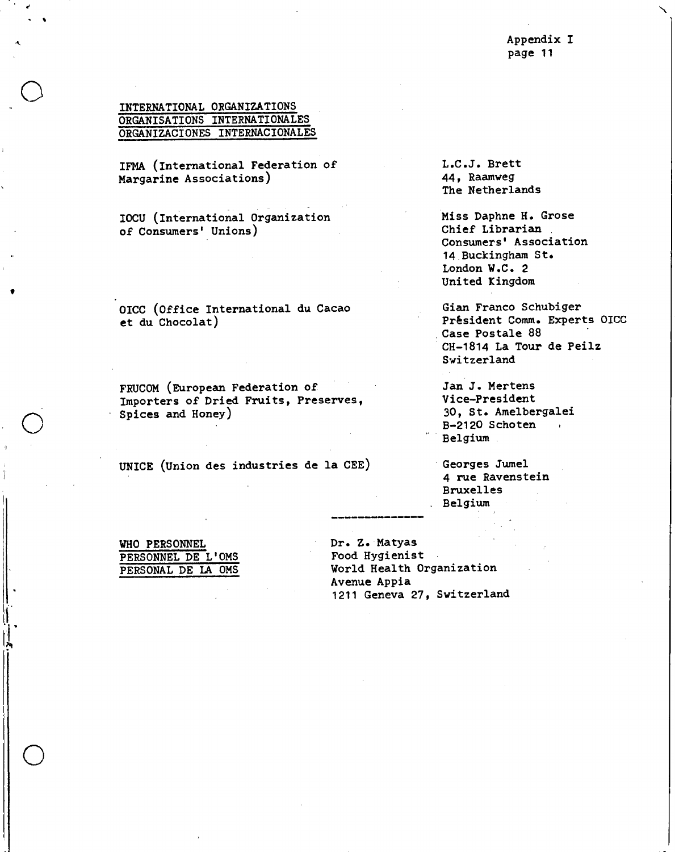**INTERNATIONAL ORGANIZATIONS ORGANISATIONS INTERNATIONALES ORGANIZACIONES INTERNACIONALES** 

**IFMA (International Federation of Margarine Associations)** 

**IOCU (International Organization of Consumers' Unions)** 

**OICC (Office International du Cacao et du Chocolat)** 

**FRUCOM (European Federation of Importers of Dried Fruits, Preserves, Spices and Honey)** 

**UNICE (Union des industries de la CEE)** 

**L.C.J. Brett 44, Raamweg The Netherlands** 

**Miss Daphne H. Grose Chief Librarian Consumers' Association 14 Buckingham St. London W.C. 2 United Kingdom** 

**Gian Franco Schubiger**  Président Comm. Experts OICC **Case Postale 88 CH-1814 La Tour de Peilz Switzerland** 

**Jan J. Mertens Vice-President 30, St. Amelbergalei B-2120 Schoten Belgium** 

**Georges Jumel 4 rue Ravenstein Bruxelles Belgium** 

**WHO PERSONNEL PERSONNEL DE L'OMS PERSONAL DE LA OMS**  **Dr. Z. Matyas Food Hygienist World Health Organization Avenue Appia 1211 Geneva 27, Switzerland**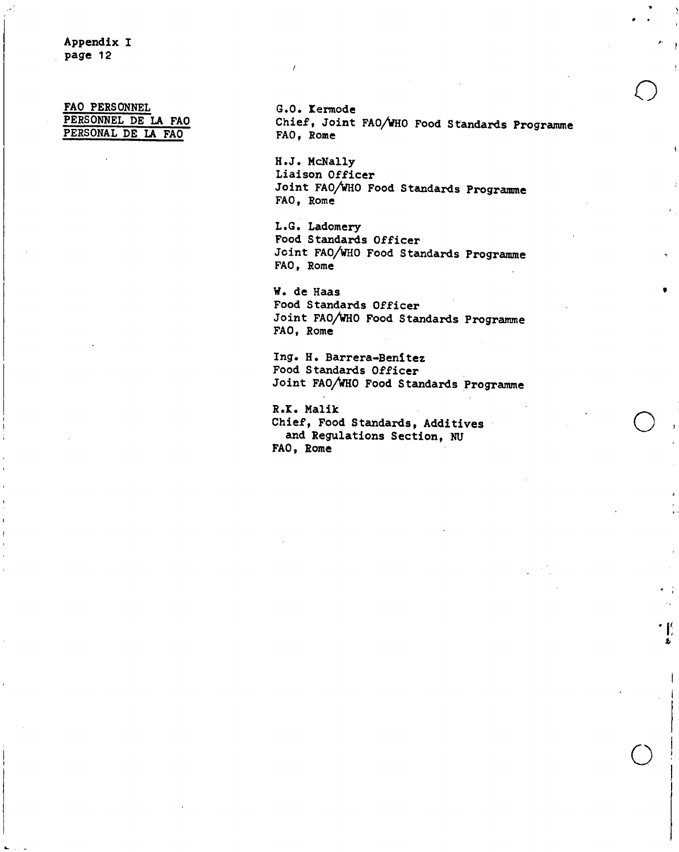**FAO PERSONNEL PERSONNEL DE LA FAO PERSONAL DE LA FAO** 

**G.O. Iermode Chief, Joint FAO/WHO Food Standards Programme FAO, Rome** 

I

 $^{\bullet}$  [f

**H.J. McNally Liaison Officer Joint FAO/WHO Food Standards Programme FAO, Rome** 

**L.G. Ladomery Food Standards Officer Joint FAO/WHO Food Standards Programme FAO, Rome** 

**W. de Haas Food Standards Officer Joint FAO/WHO Food Standards Programme FAO, Rome** 

Ing. H. Barrera-Benitez **Food Standards Officer Joint FAO/WHO Food Standards Programme** 

**R.I. Malik Chief, Food Standards, Additives and Regulations Section, NU FAO, Rome**